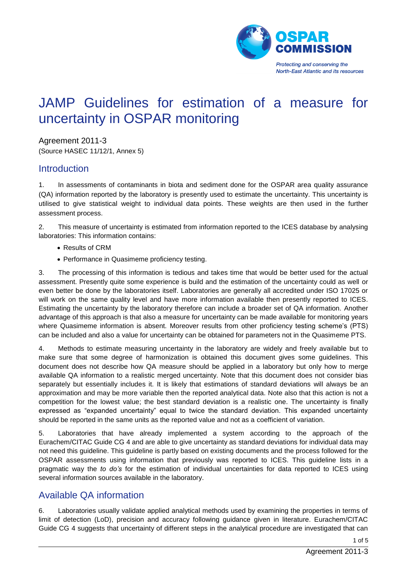

# JAMP Guidelines for estimation of a measure for uncertainty in OSPAR monitoring

Agreement 2011-3 (Source HASEC 11/12/1, Annex 5)

#### **Introduction**

1. In assessments of contaminants in biota and sediment done for the OSPAR area quality assurance (QA) information reported by the laboratory is presently used to estimate the uncertainty. This uncertainty is utilised to give statistical weight to individual data points. These weights are then used in the further assessment process.

2. This measure of uncertainty is estimated from information reported to the ICES database by analysing laboratories: This information contains:

- Results of CRM
- Performance in Quasimeme proficiency testing.

3. The processing of this information is tedious and takes time that would be better used for the actual assessment. Presently quite some experience is build and the estimation of the uncertainty could as well or even better be done by the laboratories itself. Laboratories are generally all accredited under ISO 17025 or will work on the same quality level and have more information available then presently reported to ICES. Estimating the uncertainty by the laboratory therefore can include a broader set of QA information. Another advantage of this approach is that also a measure for uncertainty can be made available for monitoring years where Quasimeme information is absent. Moreover results from other proficiency testing scheme's (PTS) can be included and also a value for uncertainty can be obtained for parameters not in the Quasimeme PTS.

4. Methods to estimate measuring uncertainty in the laboratory are widely and freely available but to make sure that some degree of harmonization is obtained this document gives some guidelines. This document does not describe how QA measure should be applied in a laboratory but only how to merge available QA information to a realistic merged uncertainty. Note that this document does not consider bias separately but essentially includes it. It is likely that estimations of standard deviations will always be an approximation and may be more variable then the reported analytical data. Note also that this action is not a competition for the lowest value; the best standard deviation is a realistic one. The uncertainty is finally expressed as "expanded uncertainty" equal to twice the standard deviation. This expanded uncertainty should be reported in the same units as the reported value and not as a coefficient of variation.

5. Laboratories that have already implemented a system according to the approach of the Eurachem/CITAC Guide CG 4 and are able to give uncertainty as standard deviations for individual data may not need this guideline. This guideline is partly based on existing documents and the process followed for the OSPAR assessments using information that previously was reported to ICES. This guideline lists in a pragmatic way the *to do's* for the estimation of individual uncertainties for data reported to ICES using several information sources available in the laboratory.

## Available QA information

6. Laboratories usually validate applied analytical methods used by examining the properties in terms of limit of detection (LoD), precision and accuracy following guidance given in literature. Eurachem/CITAC Guide CG 4 suggests that uncertainty of different steps in the analytical procedure are investigated that can

1 of 5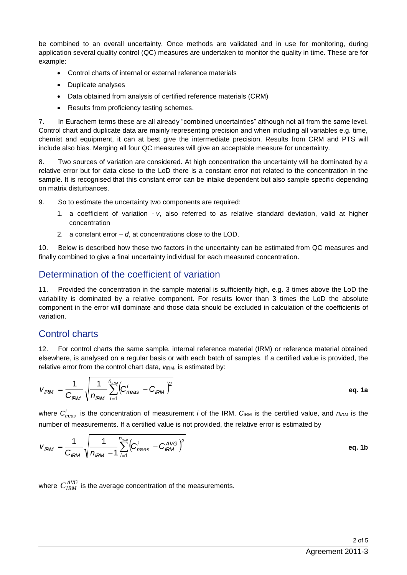be combined to an overall uncertainty. Once methods are validated and in use for monitoring, during application several quality control (QC) measures are undertaken to monitor the quality in time. These are for example:

- Control charts of internal or external reference materials
- Duplicate analyses
- Data obtained from analysis of certified reference materials (CRM)
- Results from proficiency testing schemes.

7. In Eurachem terms these are all already "combined uncertainties" although not all from the same level. Control chart and duplicate data are mainly representing precision and when including all variables e.g. time, chemist and equipment, it can at best give the intermediate precision. Results from CRM and PTS will include also bias. Merging all four QC measures will give an acceptable measure for uncertainty.

8. Two sources of variation are considered. At high concentration the uncertainty will be dominated by a relative error but for data close to the LoD there is a constant error not related to the concentration in the sample. It is recognised that this constant error can be intake dependent but also sample specific depending on matrix disturbances.

9. So to estimate the uncertainty two components are required:

- 1. a coefficient of variation *v*, also referred to as relative standard deviation, valid at higher concentration
- 2. a constant error *d*, at concentrations close to the LOD.

10. Below is described how these two factors in the uncertainty can be estimated from QC measures and finally combined to give a final uncertainty individual for each measured concentration.

## Determination of the coefficient of variation

11. Provided the concentration in the sample material is sufficiently high, e.g. 3 times above the LoD the variability is dominated by a relative component. For results lower than 3 times the LoD the absolute component in the error will dominate and those data should be excluded in calculation of the coefficients of variation.

## Control charts

12. For control charts the same sample, internal reference material (IRM) or reference material obtained elsewhere, is analysed on a regular basis or with each batch of samples. If a certified value is provided, the relative error from the control chart data,  $v_{\text{IRM}}$ , is estimated by:

<span id="page-1-0"></span>
$$
V_{\text{IRM}} = \frac{1}{C_{\text{IRM}}} \sqrt{\frac{1}{n_{\text{IRM}}}\sum_{i=1}^{n_{\text{IRM}}}(C_{\text{meas}}^{i} - C_{\text{IRM}})^{2}}
$$
eq. 1a

where  $C_{meas}^i$  is the concentration of measurement *i* of the IRM,  $C_{\text{IRM}}$  is the certified value, and  $n_{\text{IRM}}$  is the number of measurements. If a certified value is not provided, the relative error is estimated by

$$
V_{\text{IRM}} = \frac{1}{C_{\text{IRM}}} \sqrt{\frac{1}{n_{\text{IRM}}} - 1} \sum_{i=1}^{n_{\text{IRM}}} \left( C_{\text{meas}}^{i} - C_{\text{IRM}}^{AVG} \right)^{2}
$$
eq. 1b

where  $C_{IRM}^{AVG}$  is the average concentration of the measurements.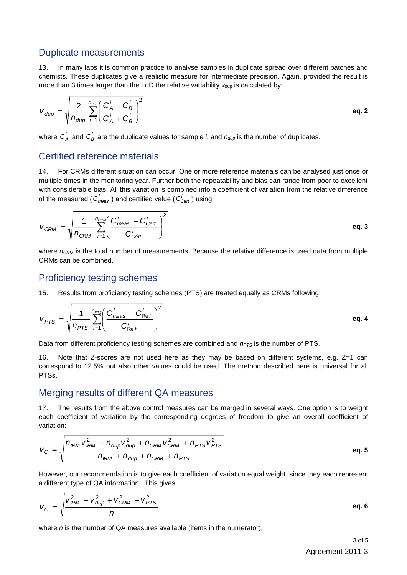#### Duplicate measurements

13. In many labs it is common practice to analyse samples in duplicate spread over different batches and chemists. These duplicates give a realistic measure for intermediate precision. Again, provided the result is more than 3 times larger than the LoD the relative variability  $v_{\text{dup}}$  is calculated by:

$$
V_{dup} = \sqrt{\frac{2}{n_{dup}} \sum_{i=1}^{n_{dup}} \left(\frac{C_A^i - C_B^i}{C_A^i + C_B^i}\right)^2}
$$
 eq. 2

where  $C_A^i$  and  $C_B^i$  are the duplicate values for sample *i*, and  $n_{\text{dup}}$  is the number of duplicates.

#### Certified reference materials

14. For CRMs different situation can occur. One or more reference materials can be analysed just once or multiple times in the monitoring year. Further both the repeatability and bias can range from poor to excellent with considerable bias. All this variation is combined into a coefficient of variation from the relative difference of the measured (  $C_{meas}^i$  ) and certified value (  $C_{Cerf}^i$  ) using:

$$
V_{CRM} = \sqrt{\frac{1}{n_{CRM}} \sum_{i=1}^{n_{CRM}} \left(\frac{C_{meas}^i - C_{Cent}^i}{C_{Cent}^i}\right)^2}
$$
 eq. 3

where  $n_{CRM}$  is the total number of measurements. Because the relative difference is used data from multiple CRMs can be combined.

#### Proficiency testing schemes

15. Results from proficiency testing schemes (PTS) are treated equally as CRMs following:

$$
V_{PTS} = \sqrt{\frac{1}{n_{PTS}} \sum_{i=1}^{n_{PTS}} \left(\frac{C_{meas}^i - C_{Ref}^i}{C_{Ref}^i}\right)^2}
$$
 eq. 4

Data from different proficiency testing schemes are combined and *nPTS* is the number of PTS.

16. Note that Z-scores are not used here as they may be based on different systems, e.g. Z=1 can correspond to 12.5% but also other values could be used. The method described here is universal for all PTSs.

#### Merging results of different QA measures

17. The results from the above control measures can be merged in several ways. One option is to weight each coefficient of variation by the corresponding degrees of freedom to give an overall coefficient of variation:

$$
V_C = \sqrt{\frac{n_{IRM}V_{IRM}^2 + n_{dup}V_{dup}^2 + n_{CRM}V_{CRM}^2 + n_{PTS}V_{PTS}^2}{n_{IRM} + n_{dup} + n_{CRM} + n_{PTS}}}
$$
 eq. 5

However, our recommendation is to give each coefficient of variation equal weight, since they each represent a different type of QA information. This gives:

$$
V_C = \sqrt{\frac{V_{\text{IRM}}^2 + V_{\text{dup}}^2 + V_{\text{CRM}}^2 + V_{\text{PTS}}^2}{n}}
$$
 eq. 6

where *n* is the number of QA measures available (items in the numerator).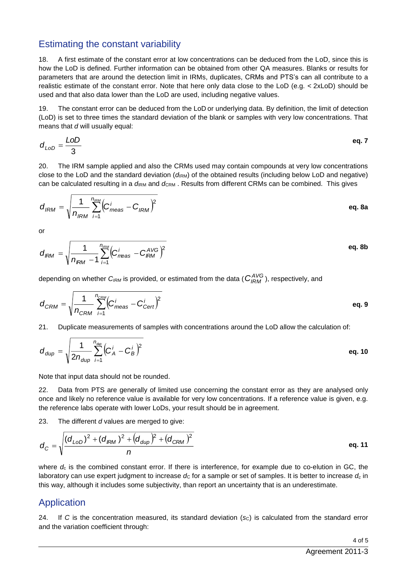# Estimating the constant variability

18. A first estimate of the constant error at low concentrations can be deduced from the LoD, since this is how the LoD is defined. Further information can be obtained from other QA measures. Blanks or results for parameters that are around the detection limit in IRMs, duplicates, CRMs and PTS's can all contribute to a realistic estimate of the constant error. Note that here only data close to the LoD (e.g. < 2xLoD) should be used and that also data lower than the LoD are used, including negative values.

19. The constant error can be deduced from the LoD or underlying data. By definition, the limit of detection (LoD) is set to three times the standard deviation of the blank or samples with very low concentrations. That means that *d* will usually equal:

$$
d_{LoD} = \frac{LoD}{3}
$$
 eq. 7

20. The IRM sample applied and also the CRMs used may contain compounds at very low concentrations close to the LoD and the standard deviation ( $d_{\text{RM}}$ ) of the obtained results (including below LoD and negative) can be calculated resulting in a *d*<sub>RM</sub> and *d*<sub>CRM</sub>. Results from different CRMs can be combined. This gives

<span id="page-3-0"></span>
$$
d_{\text{IRM}} = \sqrt{\frac{1}{n_{\text{IRM}}}\sum_{i=1}^{n_{\text{IRM}}}\left(C_{\text{meas}}^{i} - C_{\text{IRM}}\right)^{2}}
$$
eq. 8a

or

$$
d_{\text{IRM}} = \sqrt{\frac{1}{n_{\text{IRM}} - 1} \sum_{i=1}^{n_{\text{IRM}} \left( C_{\text{meas}}^{i} - C_{\text{IRM}}^{AVG} \right)^2}
$$

depending on whether *CIRM* is provided, or estimated from the data ( *AVG <sup>C</sup>IRM* ), respectively, and

$$
d_{\text{CRM}} = \sqrt{\frac{1}{n_{\text{CRM}}}\sum_{i=1}^{n_{\text{CRM}}} \left(C_{\text{meas}}^{i} - C_{\text{Cert}}^{i}\right)^2}
$$

21. Duplicate measurements of samples with concentrations around the LoD allow the calculation of:

$$
d_{\text{dup}} = \sqrt{\frac{1}{2n_{\text{dup}}}\sum_{i=1}^{n_{\text{dep}}}\left(C_A^i - C_B^i\right)^2}
$$
eq. 10

Note that input data should not be rounded.

22. Data from PTS are generally of limited use concerning the constant error as they are analysed only once and likely no reference value is available for very low concentrations. If a reference value is given, e.g. the reference labs operate with lower LoDs, your result should be in agreement.

23. The different *d* values are merged to give:

$$
d_C = \sqrt{\frac{(d_{LOD})^2 + (d_{IRM})^2 + (d_{dup})^2 + (d_{CRM})^2}{n}}
$$
eq. 11

where  $d_c$  is the combined constant error. If there is interference, for example due to co-elution in GC, the laboratory can use expert judgment to increase  $d_c$  for a sample or set of samples. It is better to increase  $d_c$  in this way, although it includes some subjectivity, than report an uncertainty that is an underestimate.

# Application

24. If *C* is the concentration measured, its standard deviation (sc) is calculated from the standard error and the variation coefficient through: